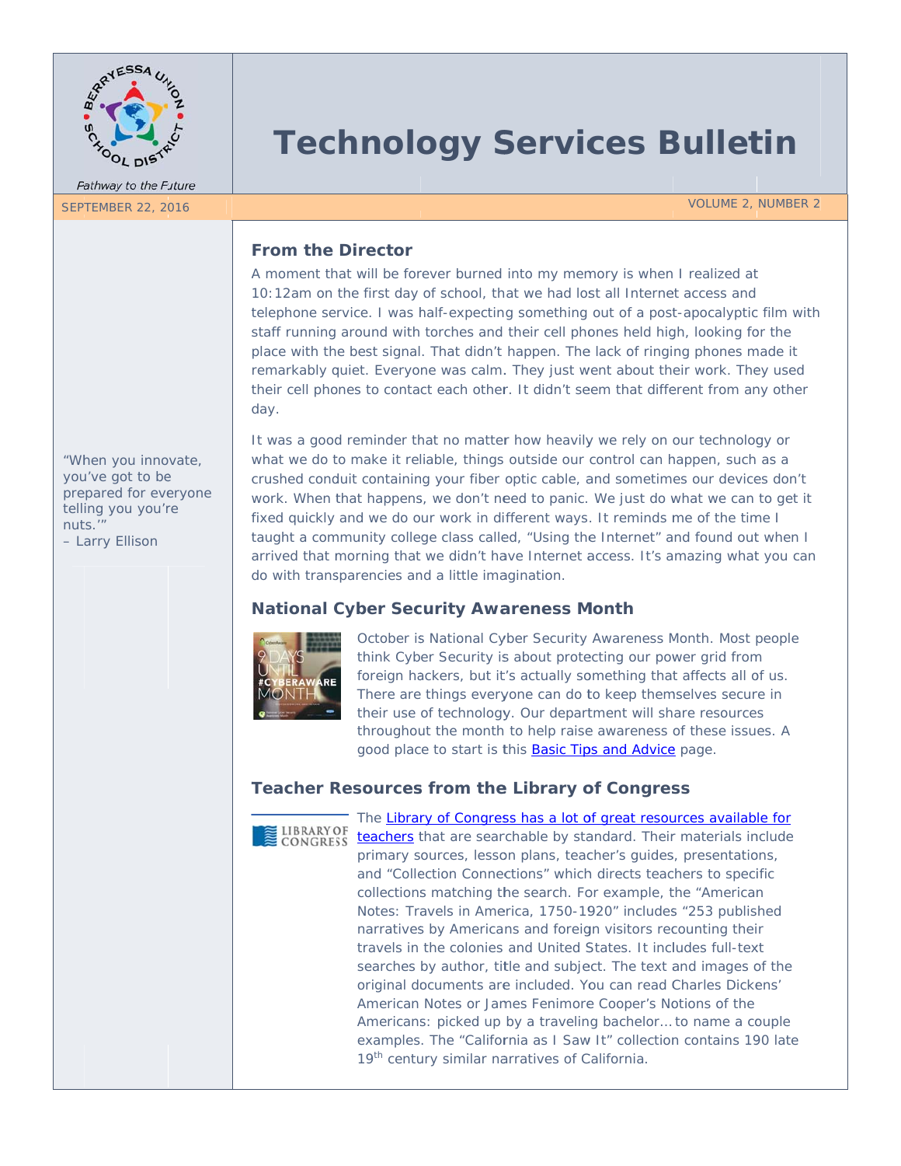

# **Technology Services Bulletin**

**VOLUME 2, NUMBER 2** 

## **From the Director**

A moment that will be forever burned into my memory is when I realized at 10:12am on the first day of school, that we had lost all Internet access and telephone service. I was half-expecting something out of a post-apocalyptic film with staff running around with torches and their cell phones held high, looking for the place with the best signal. That didn't happen. The lack of ringing phones made it remarkably quiet. Everyone was calm. They just went about their work. They used their cell phones to contact each other. It didn't seem that different from any other day.

"When you innovate, you've got to be prepared for everyone telling you you're nuts." - Larry Ellison

It was a good reminder that no matter how heavily we rely on our technology or what we do to make it reliable, things outside our control can happen, such as a crushed conduit containing your fiber optic cable, and sometimes our devices don't work. When that happens, we don't need to panic. We just do what we can to get it fixed quickly and we do our work in different ways. It reminds me of the time I taught a community college class called, "Using the Internet" and found out when I arrived that morning that we didn't have Internet access. It's amazing what you can do with transparencies and a little imagination.

### **National Cyber Security Awareness Month**



October is National Cyber Security Awareness Month. Most people think Cyber Security is about protecting our power grid from foreign hackers, but it's actually something that affects all of us. There are things everyone can do to keep themselves secure in their use of technology. Our department will share resources throughout the month to help raise awareness of these issues. A good place to start is this **Basic Tips and Advice** page.

# **Teacher Resources from the Library of Congress**



The Library of Congress has a lot of great resources available for teachers that are searchable by standard. Their materials include primary sources, lesson plans, teacher's quides, presentations, and "Collection Connections" which directs teachers to specific collections matching the search. For example, the "American Notes: Travels in America, 1750-1920" includes "253 published narratives by Americans and foreign visitors recounting their travels in the colonies and United States. It includes full-text searches by author, title and subject. The text and images of the original documents are included. You can read Charles Dickens' American Notes or James Fenimore Cooper's Notions of the Americans: picked up by a traveling bachelor... to name a couple examples. The "California as I Saw It" collection contains 190 late 19<sup>th</sup> century similar narratives of California.